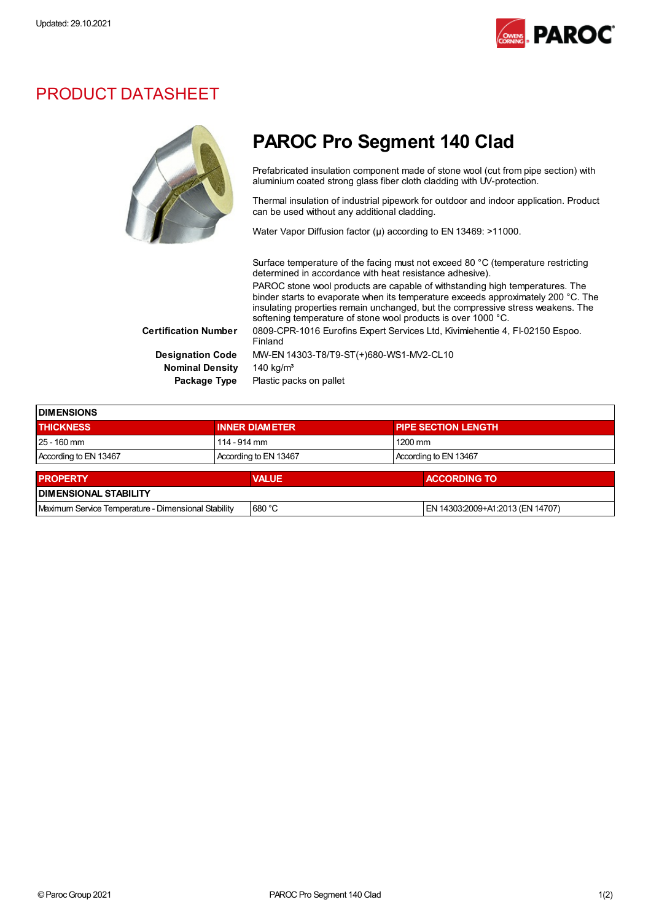

## PRODUCT DATASHEET



| <b>DIMENSIONS</b>                                   |              |                       |  |                                  |  |
|-----------------------------------------------------|--------------|-----------------------|--|----------------------------------|--|
| <b>THICKNESS</b>                                    |              | <b>INNER DIAMETER</b> |  | <b>PIPE SECTION LENGTH</b>       |  |
| 25 - 160 mm                                         | 114 - 914 mm |                       |  | $1200 \text{ mm}$                |  |
| According to EN 13467                               |              | According to EN 13467 |  | According to EN 13467            |  |
| <b>PROPERTY</b>                                     |              |                       |  | <b>ACCORDING TO</b>              |  |
|                                                     |              | <b>VALUE</b>          |  |                                  |  |
| <b>DIMENSIONAL STABILITY</b>                        |              |                       |  |                                  |  |
| Maximum Service Temperature - Dimensional Stability |              | 680 °C                |  | EN 14303:2009+A1:2013 (EN 14707) |  |